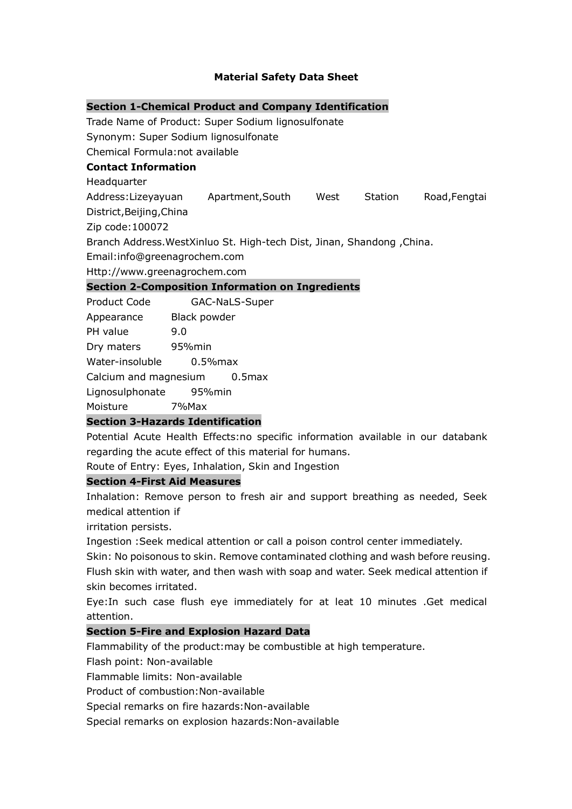# **Material Safety Data Sheet**

|                                                                        |                | <b>Section 1-Chemical Product and Company Identification</b> |  |         |               |
|------------------------------------------------------------------------|----------------|--------------------------------------------------------------|--|---------|---------------|
|                                                                        |                | Trade Name of Product: Super Sodium lignosulfonate           |  |         |               |
| Synonym: Super Sodium lignosulfonate                                   |                |                                                              |  |         |               |
| Chemical Formula:not available                                         |                |                                                              |  |         |               |
| <b>Contact Information</b>                                             |                |                                                              |  |         |               |
| Headquarter                                                            |                |                                                              |  |         |               |
| Address:Lizeyayuan Apartment, South West                               |                |                                                              |  | Station | Road, Fengtai |
| District, Beijing, China                                               |                |                                                              |  |         |               |
| Zip code: 100072                                                       |                |                                                              |  |         |               |
| Branch Address. WestXinluo St. High-tech Dist, Jinan, Shandong, China. |                |                                                              |  |         |               |
| Email:info@greenagrochem.com                                           |                |                                                              |  |         |               |
| Http://www.greenagrochem.com                                           |                |                                                              |  |         |               |
|                                                                        |                | <b>Section 2-Composition Information on Ingredients</b>      |  |         |               |
| Product Code                                                           | GAC-NaLS-Super |                                                              |  |         |               |
| Appearance Black powder                                                |                |                                                              |  |         |               |
| PH value                                                               | 9.0            |                                                              |  |         |               |
| Dry maters 95% min                                                     |                |                                                              |  |         |               |
| Water-insoluble                                                        |                | $0.5%$ max                                                   |  |         |               |
| Calcium and magnesium<br>0.5 <sub>max</sub>                            |                |                                                              |  |         |               |
| Lignosulphonate<br>95%min                                              |                |                                                              |  |         |               |

Moisture 7%Max

## **Section 3-Hazards Identification**

Potential Acute Health Effects:no specific information available in our databank regarding the acute effect of this material for humans.

Route of Entry: Eyes, Inhalation, Skin and Ingestion

## **Section 4-First Aid Measures**

Inhalation: Remove person to fresh air and support breathing as needed, Seek medical attention if

irritation persists.

Ingestion :Seek medical attention or call a poison control center immediately.

Skin: No poisonous to skin. Remove contaminated clothing and wash before reusing. Flush skin with water, and then wash with soap and water. Seek medical attention if skin becomes irritated.

Eye:In such case flush eye immediately for at leat 10 minutes .Get medical attention.

## **Section 5-Fire and Explosion Hazard Data**

Flammability of the product:may be combustible at high temperature.

Flash point: Non-available

Flammable limits: Non-available

Product of combustion:Non-available

Special remarks on fire hazards:Non-available

Special remarks on explosion hazards:Non-available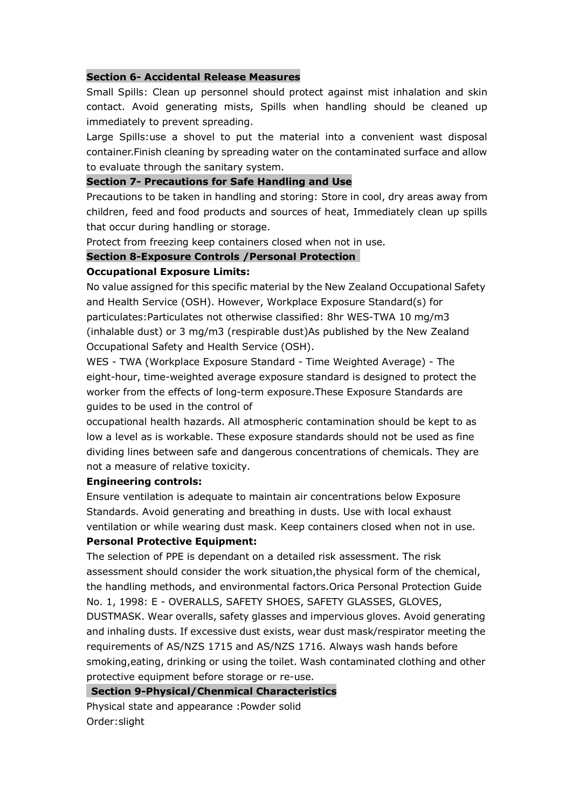## **Section 6- Accidental Release Measures**

Small Spills: Clean up personnel should protect against mist inhalation and skin contact. Avoid generating mists, Spills when handling should be cleaned up immediately to prevent spreading.

Large Spills:use a shovel to put the material into a convenient wast disposal container.Finish cleaning by spreading water on the contaminated surface and allow to evaluate through the sanitary system.

### **Section 7- Precautions for Safe Handling and Use**

Precautions to be taken in handling and storing: Store in cool, dry areas away from children, feed and food products and sources of heat, Immediately clean up spills that occur during handling or storage.

Protect from freezing keep containers closed when not in use.

### **Section 8-Exposure Controls /Personal Protection**

## **Occupational Exposure Limits:**

No value assigned for this specific material by the New Zealand OccupationalSafety and Health Service (OSH). However, Workplace Exposure Standard(s) for particulates:Particulates not otherwise classified: 8hr WES-TWA 10 mg/m3 (inhalable dust) or 3 mg/m3 (respirable dust)As published by the New Zealand Occupational Safety and Health Service (OSH).

WES - TWA (Workplace Exposure Standard - Time Weighted Average) - The eight-hour, time-weighted average exposure standard is designed to protect the worker from the effects of long-term exposure.These Exposure Standards are guides to be used in the control of

occupational health hazards. All atmospheric contamination should be kept to as low a level as is workable. These exposure standards should not be used as fine dividing lines between safe and dangerous concentrations of chemicals. They are not a measure of relative toxicity.

#### **Engineering controls:**

Ensure ventilation is adequate to maintain air concentrations below Exposure Standards. Avoid generating and breathing in dusts. Use with local exhaust ventilation or while wearing dust mask. Keep containers closed when not in use.

# **Personal Protective Equipment:**

The selection of PPE is dependant on a detailed risk assessment. The risk assessment should consider the work situation,the physical form of the chemical, the handling methods, and environmental factors.Orica Personal Protection Guide No. 1, 1998: E - OVERALLS, SAFETY SHOES, SAFETY GLASSES, GLOVES,

DUSTMASK. Wear overalls, safety glasses and impervious gloves. Avoid generating and inhaling dusts. If excessive dust exists, wear dust mask/respirator meeting the requirements of AS/NZS 1715 and AS/NZS 1716. Always wash hands before smoking,eating, drinking or using the toilet. Wash contaminated clothing and other protective equipment before storage or re-use.

**Section 9-Physical/Chenmical Characteristics**

Physical state and appearance :Powder solid Order:slight